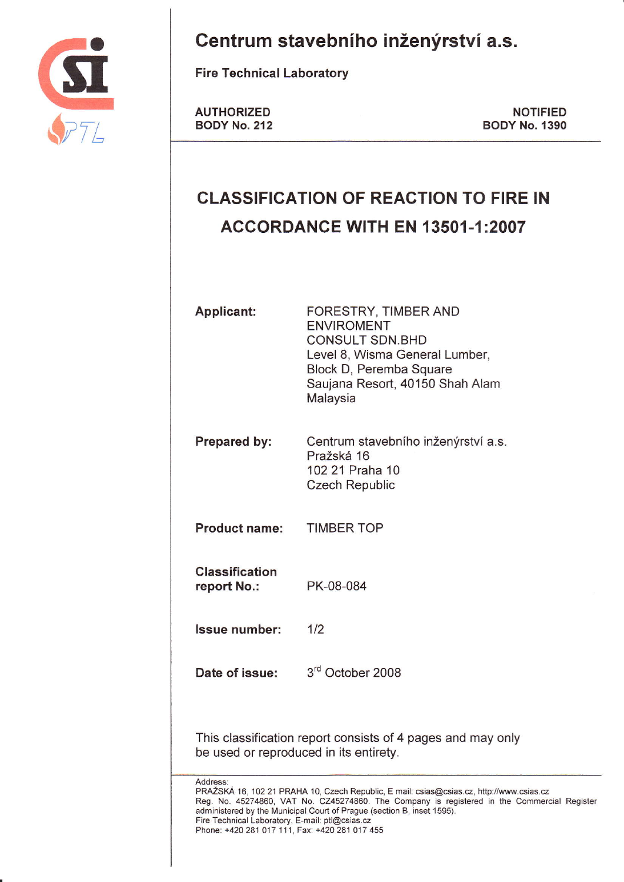

Centrum stavebního inženýrství a.s.

**Fire Technical Laboratory** 

**AUTHORIZED BODY No. 212** 

**NOTIFIED BODY No. 1390** 

# **CLASSIFICATION OF REACTION TO FIRE IN** ACCORDANCE WITH EN 13501-1:2007

| <b>Applicant:</b>                                                                                                                                                                                                                                                                                                                                                                  | FORESTRY, TIMBER AND<br><b>ENVIROMENT</b><br><b>CONSULT SDN.BHD</b><br>Level 8, Wisma General Lumber,<br>Block D, Peremba Square<br>Saujana Resort, 40150 Shah Alam<br>Malaysia |  |
|------------------------------------------------------------------------------------------------------------------------------------------------------------------------------------------------------------------------------------------------------------------------------------------------------------------------------------------------------------------------------------|---------------------------------------------------------------------------------------------------------------------------------------------------------------------------------|--|
| Prepared by:                                                                                                                                                                                                                                                                                                                                                                       | Centrum stavebního inženýrství a.s.<br>Pražská 16<br>102 21 Praha 10<br><b>Czech Republic</b>                                                                                   |  |
| <b>Product name:</b>                                                                                                                                                                                                                                                                                                                                                               | <b>TIMBER TOP</b>                                                                                                                                                               |  |
| <b>Classification</b><br>report No.:                                                                                                                                                                                                                                                                                                                                               | PK-08-084                                                                                                                                                                       |  |
| <b>Issue number:</b>                                                                                                                                                                                                                                                                                                                                                               | 1/2                                                                                                                                                                             |  |
| Date of issue:                                                                                                                                                                                                                                                                                                                                                                     | 3rd October 2008                                                                                                                                                                |  |
|                                                                                                                                                                                                                                                                                                                                                                                    | This classification report consists of 4 pages and may only<br>be used or reproduced in its entirety.                                                                           |  |
| Address:<br>PRAŽSKÁ 16, 102 21 PRAHA 10, Czech Republic, E mail: csias@csias.cz, http://www.csias.cz<br>Reg. No. 45274860, VAT No. CZ45274860. The Company is registered in the Commercial Register<br>administered by the Municipal Court of Prague (section B, inset 1595).<br>Fire Technical Laboratory, E-mail: ptl@csias.cz<br>Phone: +420 281 017 111, Fax: +420 281 017 455 |                                                                                                                                                                                 |  |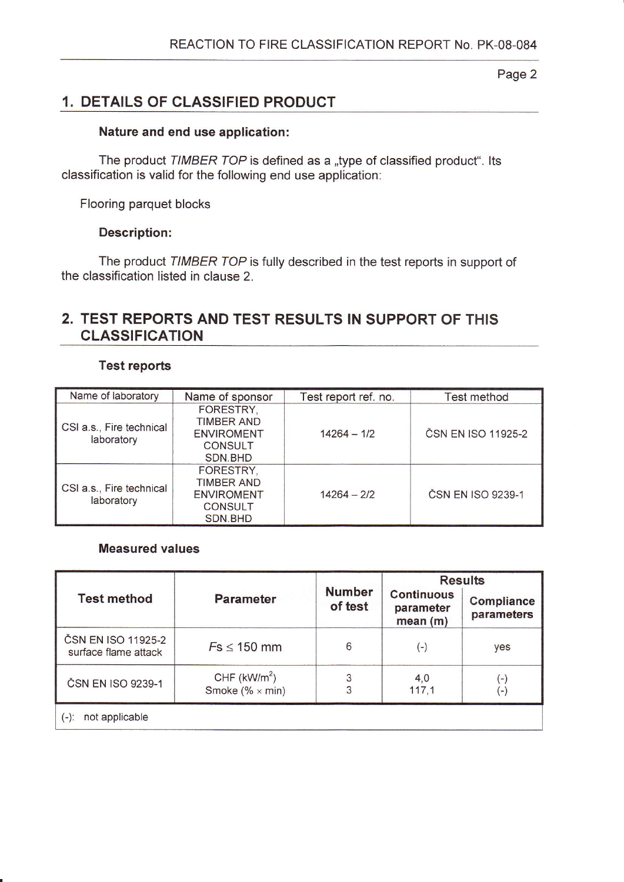#### Page 2

# í. DETAILS oF cLAssIF|ED PRoDUGT

#### Nature and end use application:

The product TIMBER TOP is defined as a "type of classified product". Its classification is valid for the following end use application:

Flooring parquet blocks

#### Description:

The product TIMBER TOP is fully described in the test reports in support of the classification listed in clause 2.

# 2. TEST REPORTS AND TEST RESULTS IN SUPPORT OF THIS CLASSIFICATION

#### Test reports

| Name of laboratory                     | Name of sponsor                                                                  | Test report ref. no. | <b>Test method</b> |
|----------------------------------------|----------------------------------------------------------------------------------|----------------------|--------------------|
| CSI a.s., Fire technical<br>laboratory | FORESTRY,<br><b>TIMBER AND</b><br><b>ENVIROMENT</b><br><b>CONSULT</b><br>SDN.BHD | $14264 - 1/2$        | ČSN EN ISO 11925-2 |
| CSI a.s., Fire technical<br>laboratory | FORESTRY,<br><b>TIMBER AND</b><br><b>ENVIROMENT</b><br><b>CONSULT</b><br>SDN.BHD | $14264 - 2/2$        | ČSN EN ISO 9239-1  |

#### Measured values

|                                            | <b>Parameter</b>                        | <b>Number</b><br>of test | <b>Results</b>                            |                          |
|--------------------------------------------|-----------------------------------------|--------------------------|-------------------------------------------|--------------------------|
| <b>Test method</b>                         |                                         |                          | <b>Continuous</b><br>parameter<br>mean(m) | Compliance<br>parameters |
| ČSN EN ISO 11925-2<br>surface flame attack | $Fs \leq 150$ mm                        | 6                        | $(\overline{-})$                          | yes                      |
| ČSN EN ISO 9239-1                          | CHF $(kW/m2)$<br>Smoke (% $\times$ min) | 3                        | 4.0<br>117,1                              | Ō,<br>$\overline{a}$     |
| not applicable<br>$(-)$ :                  |                                         |                          |                                           |                          |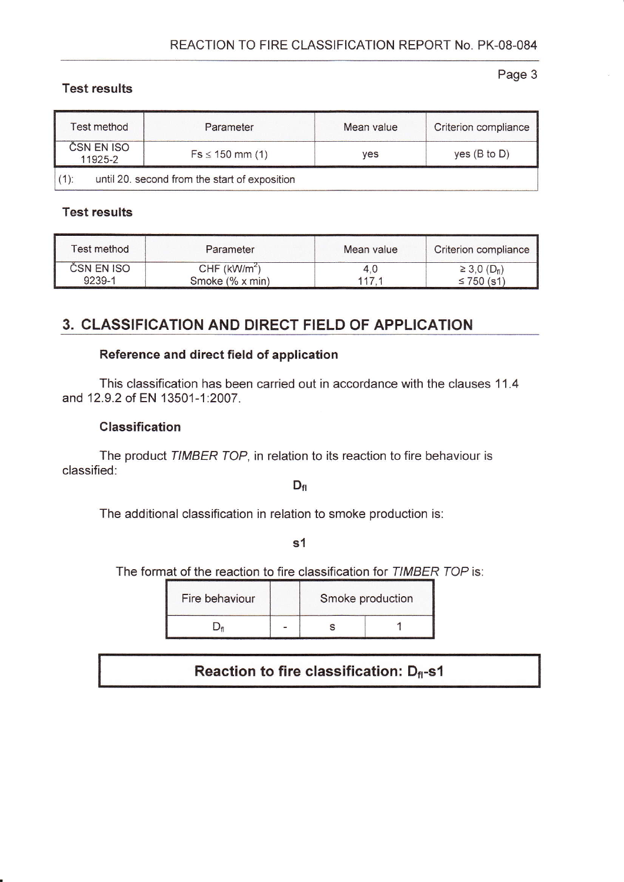## **Test results**

Page 3

| <b>Test method</b>    | Parameter                                     |     | Criterion compliance    |  |
|-----------------------|-----------------------------------------------|-----|-------------------------|--|
| ČSN EN ISO<br>11925-2 | $Fs \le 150$ mm (1)                           | ves | yes $(B \text{ to } D)$ |  |
| $(1)$ :               | until 20. second from the start of exposition |     |                         |  |

## **Test results**

| Test method | Parameter                  | Mean value | Criterion compliance          |
|-------------|----------------------------|------------|-------------------------------|
| CSN EN ISO  | $CHF$ (kW/m <sup>2</sup> ) | 4.U        | $\geq 3,0$ (D <sub>fl</sub> ) |
| 9239-1      | Smoke (% x min)            | 117.       | $≤ 750$ (s1)                  |

# 3. CLASSIFICATION AND DIRECT FIELD OF APPLICATION

## Reference and direct field of application

This classification has been carried out in accordance with the clauses 11.4 and 12.9.2 of EN 13501-1:2007.

## **Classification**

The product TIMBER TOP, in relation to its reaction to fire behaviour is classified:

 $D_{\rm fl}$ 

The additional classification in relation to smoke production is:

 $s<sub>1</sub>$ 

The format of the reaction to fire classification for TIMBER TOP is:

| Fire behaviour |  | Smoke production |  |
|----------------|--|------------------|--|
|                |  |                  |  |

# Reaction to fire classification: Df-s1